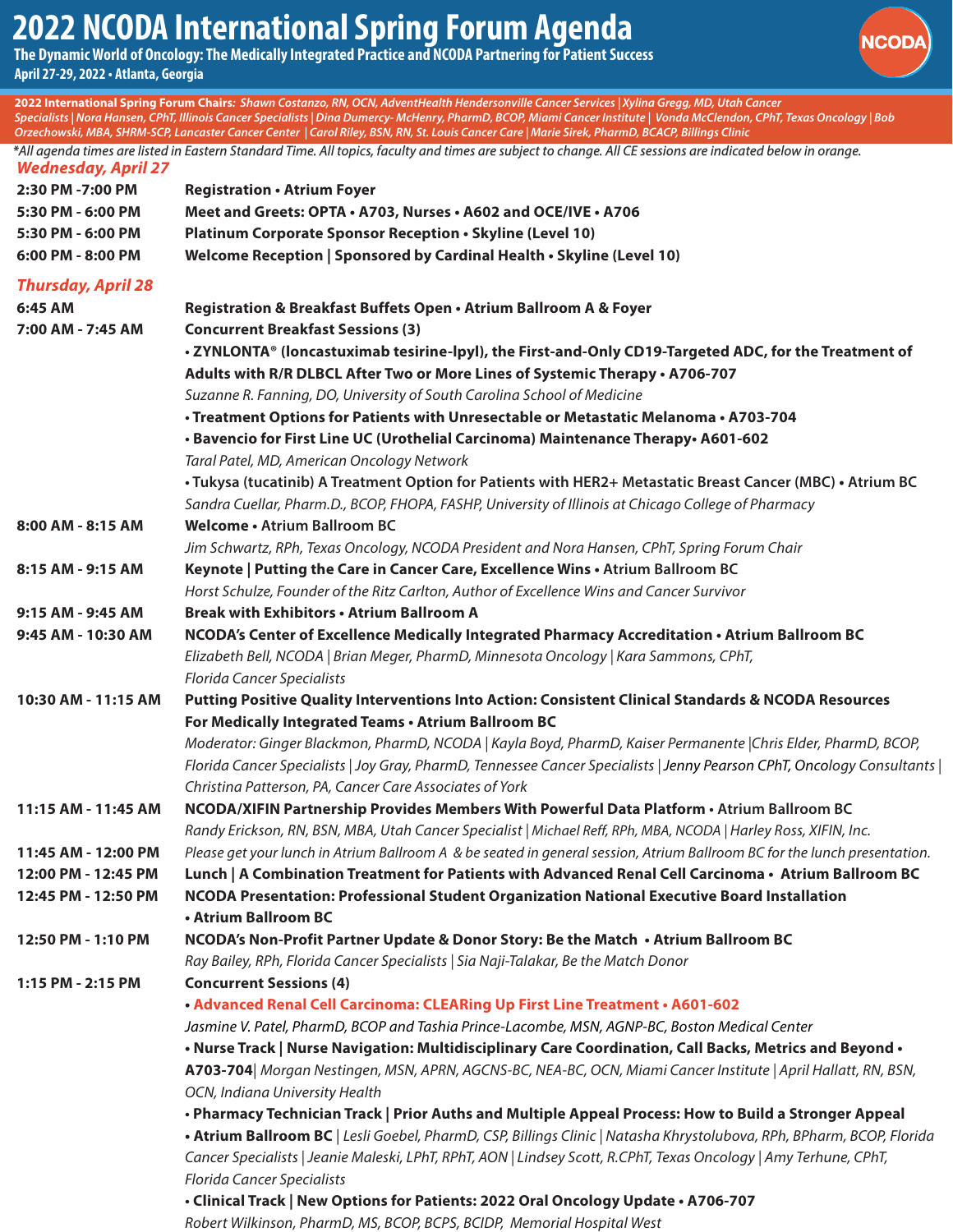## **2022 NCODA International Spring Forum Agenda**

**The Dynamic World of Oncology: The Medically Integrated Practice and NCODA Partnering for Patient Success April 27-29, 2022 • Atlanta, Georgia** 

**2022 International Spring Forum Chairs***: Shawn Costanzo, RN, OCN, AdventHealth Hendersonville Cancer Services | Xylina Gregg, MD, Utah Cancer* 



|                                            | Specialists   Nora Hansen, CPhT, Illinois Cancer Specialists   Dina Dumercy- McHenry, PharmD, BCOP, Miami Cancer Institute   Vonda McClendon, CPhT, Texas Oncology   Bob<br>Orzechowski, MBA, SHRM-SCP, Lancaster Cancer Center   Carol Riley, BSN, RN, St. Louis Cancer Care   Marie Sirek, PharmD, BCACP, Billings Clinic |
|--------------------------------------------|-----------------------------------------------------------------------------------------------------------------------------------------------------------------------------------------------------------------------------------------------------------------------------------------------------------------------------|
| <b>Wednesday, April 27</b>                 | *All agenda times are listed in Eastern Standard Time. All topics, faculty and times are subject to change. All CE sessions are indicated below in orange.                                                                                                                                                                  |
| 2:30 PM -7:00 PM                           | <b>Registration • Atrium Foyer</b>                                                                                                                                                                                                                                                                                          |
| 5:30 PM - 6:00 PM                          | Meet and Greets: OPTA . A703, Nurses . A602 and OCE/IVE . A706                                                                                                                                                                                                                                                              |
| 5:30 PM - 6:00 PM                          | Platinum Corporate Sponsor Reception . Skyline (Level 10)                                                                                                                                                                                                                                                                   |
| 6:00 PM - 8:00 PM                          | Welcome Reception   Sponsored by Cardinal Health . Skyline (Level 10)                                                                                                                                                                                                                                                       |
| <b>Thursday, April 28</b>                  |                                                                                                                                                                                                                                                                                                                             |
| 6:45 AM                                    | Registration & Breakfast Buffets Open • Atrium Ballroom A & Foyer                                                                                                                                                                                                                                                           |
| 7:00 AM - 7:45 AM                          | <b>Concurrent Breakfast Sessions (3)</b>                                                                                                                                                                                                                                                                                    |
|                                            | • ZYNLONTA® (loncastuximab tesirine-lpyl), the First-and-Only CD19-Targeted ADC, for the Treatment of                                                                                                                                                                                                                       |
|                                            | Adults with R/R DLBCL After Two or More Lines of Systemic Therapy . A706-707                                                                                                                                                                                                                                                |
|                                            | Suzanne R. Fanning, DO, University of South Carolina School of Medicine                                                                                                                                                                                                                                                     |
|                                            | · Treatment Options for Patients with Unresectable or Metastatic Melanoma · A703-704                                                                                                                                                                                                                                        |
|                                            | . Bavencio for First Line UC (Urothelial Carcinoma) Maintenance Therapy. A601-602                                                                                                                                                                                                                                           |
|                                            | Taral Patel, MD, American Oncology Network                                                                                                                                                                                                                                                                                  |
|                                            | . Tukysa (tucatinib) A Treatment Option for Patients with HER2+ Metastatic Breast Cancer (MBC) . Atrium BC                                                                                                                                                                                                                  |
|                                            | Sandra Cuellar, Pharm.D., BCOP, FHOPA, FASHP, University of Illinois at Chicago College of Pharmacy                                                                                                                                                                                                                         |
| 8:00 AM - 8:15 AM                          | Welcome • Atrium Ballroom BC                                                                                                                                                                                                                                                                                                |
|                                            | Jim Schwartz, RPh, Texas Oncology, NCODA President and Nora Hansen, CPhT, Spring Forum Chair                                                                                                                                                                                                                                |
| 8:15 AM - 9:15 AM                          | Keynote   Putting the Care in Cancer Care, Excellence Wins . Atrium Ballroom BC                                                                                                                                                                                                                                             |
|                                            | Horst Schulze, Founder of the Ritz Carlton, Author of Excellence Wins and Cancer Survivor                                                                                                                                                                                                                                   |
| 9:15 AM - 9:45 AM                          | <b>Break with Exhibitors • Atrium Ballroom A</b>                                                                                                                                                                                                                                                                            |
| 9:45 AM - 10:30 AM                         | NCODA's Center of Excellence Medically Integrated Pharmacy Accreditation • Atrium Ballroom BC                                                                                                                                                                                                                               |
|                                            | Elizabeth Bell, NCODA   Brian Meger, PharmD, Minnesota Oncology   Kara Sammons, CPhT,                                                                                                                                                                                                                                       |
|                                            | <b>Florida Cancer Specialists</b>                                                                                                                                                                                                                                                                                           |
| 10:30 AM - 11:15 AM                        | Putting Positive Quality Interventions Into Action: Consistent Clinical Standards & NCODA Resources                                                                                                                                                                                                                         |
|                                            | For Medically Integrated Teams . Atrium Ballroom BC                                                                                                                                                                                                                                                                         |
|                                            | Moderator: Ginger Blackmon, PharmD, NCODA   Kayla Boyd, PharmD, Kaiser Permanente  Chris Elder, PharmD, BCOP,                                                                                                                                                                                                               |
|                                            | Florida Cancer Specialists   Joy Gray, PharmD, Tennessee Cancer Specialists   Jenny Pearson CPhT, Oncology Consultants                                                                                                                                                                                                      |
|                                            | Christina Patterson, PA, Cancer Care Associates of York                                                                                                                                                                                                                                                                     |
| 11:15 AM - 11:45 AM                        | NCODA/XIFIN Partnership Provides Members With Powerful Data Platform . Atrium Ballroom BC                                                                                                                                                                                                                                   |
|                                            | Randy Erickson, RN, BSN, MBA, Utah Cancer Specialist   Michael Reff, RPh, MBA, NCODA   Harley Ross, XIFIN, Inc.                                                                                                                                                                                                             |
| 11:45 AM - 12:00 PM<br>12:00 PM - 12:45 PM | Please get your lunch in Atrium Ballroom A & be seated in general session, Atrium Ballroom BC for the lunch presentation.<br>Lunch   A Combination Treatment for Patients with Advanced Renal Cell Carcinoma • Atrium Ballroom BC                                                                                           |
| 12:45 PM - 12:50 PM                        | NCODA Presentation: Professional Student Organization National Executive Board Installation                                                                                                                                                                                                                                 |
|                                            | • Atrium Ballroom BC                                                                                                                                                                                                                                                                                                        |
| 12:50 PM - 1:10 PM                         | NCODA's Non-Profit Partner Update & Donor Story: Be the Match • Atrium Ballroom BC                                                                                                                                                                                                                                          |
|                                            | Ray Bailey, RPh, Florida Cancer Specialists   Sia Naji-Talakar, Be the Match Donor                                                                                                                                                                                                                                          |
| 1:15 PM - 2:15 PM                          | <b>Concurrent Sessions (4)</b>                                                                                                                                                                                                                                                                                              |
|                                            | . Advanced Renal Cell Carcinoma: CLEARing Up First Line Treatment . A601-602                                                                                                                                                                                                                                                |
|                                            | Jasmine V. Patel, PharmD, BCOP and Tashia Prince-Lacombe, MSN, AGNP-BC, Boston Medical Center                                                                                                                                                                                                                               |
|                                            | . Nurse Track   Nurse Navigation: Multidisciplinary Care Coordination, Call Backs, Metrics and Beyond .                                                                                                                                                                                                                     |
|                                            | A703-704  Morgan Nestingen, MSN, APRN, AGCNS-BC, NEA-BC, OCN, Miami Cancer Institute   April Hallatt, RN, BSN,                                                                                                                                                                                                              |
|                                            | OCN, Indiana University Health                                                                                                                                                                                                                                                                                              |
|                                            | • Pharmacy Technician Track   Prior Auths and Multiple Appeal Process: How to Build a Stronger Appeal                                                                                                                                                                                                                       |
|                                            | . Atrium Ballroom BC   Lesli Goebel, PharmD, CSP, Billings Clinic   Natasha Khrystolubova, RPh, BPharm, BCOP, Florida                                                                                                                                                                                                       |
|                                            | Cancer Specialists   Jeanie Maleski, LPhT, RPhT, AON   Lindsey Scott, R.CPhT, Texas Oncology   Amy Terhune, CPhT,                                                                                                                                                                                                           |
|                                            | <b>Florida Cancer Specialists</b>                                                                                                                                                                                                                                                                                           |
|                                            | . Clinical Track   New Options for Patients: 2022 Oral Oncology Update . A706-707                                                                                                                                                                                                                                           |
|                                            | Robert Wilkinson, PharmD, MS, BCOP, BCPS, BCIDP, Memorial Hospital West                                                                                                                                                                                                                                                     |